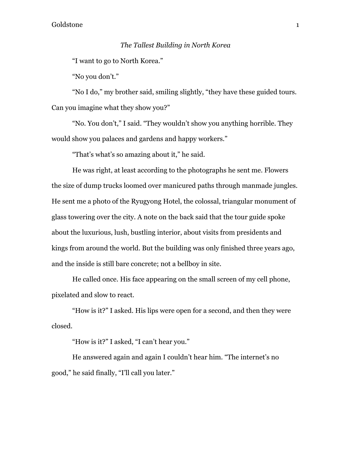## *The Tallest Building in North Korea*

"I want to go to North Korea."

"No you don't."

"No I do," my brother said, smiling slightly, "they have these guided tours. Can you imagine what they show you?"

"No. You don't," I said. "They wouldn't show you anything horrible. They would show you palaces and gardens and happy workers."

"That's what's so amazing about it," he said.

He was right, at least according to the photographs he sent me. Flowers the size of dump trucks loomed over manicured paths through manmade jungles. He sent me a photo of the Ryugyong Hotel, the colossal, triangular monument of glass towering over the city. A note on the back said that the tour guide spoke about the luxurious, lush, bustling interior, about visits from presidents and kings from around the world. But the building was only finished three years ago, and the inside is still bare concrete; not a bellboy in site.

He called once. His face appearing on the small screen of my cell phone, pixelated and slow to react.

"How is it?" I asked. His lips were open for a second, and then they were closed.

"How is it?" I asked, "I can't hear you."

He answered again and again I couldn't hear him. "The internet's no good," he said finally, "I'll call you later."